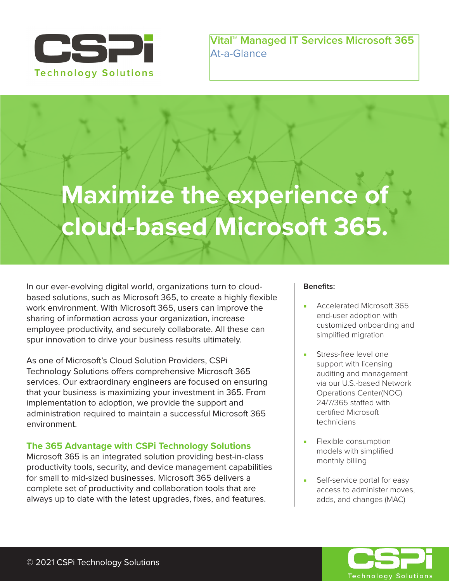

**Vital™ Managed IT Services Microsoft 365** At-a-Glance

# **Maximize the experience of cloud-based Microsoft 365.**

In our ever-evolving digital world, organizations turn to cloudbased solutions, such as Microsoft 365, to create a highly flexible work environment. With Microsoft 365, users can improve the sharing of information across your organization, increase employee productivity, and securely collaborate. All these can spur innovation to drive your business results ultimately.

As one of Microsoft's Cloud Solution Providers, CSPi Technology Solutions offers comprehensive Microsoft 365 services. Our extraordinary engineers are focused on ensuring that your business is maximizing your investment in 365. From implementation to adoption, we provide the support and administration required to maintain a successful Microsoft 365 environment.

# **The 365 Advantage with CSPi Technology Solutions**

Microsoft 365 is an integrated solution providing best-in-class productivity tools, security, and device management capabilities for small to mid-sized businesses. Microsoft 365 delivers a complete set of productivity and collaboration tools that are always up to date with the latest upgrades, fixes, and features.

#### **Benefits:**

- Accelerated Microsoft 365 end-user adoption with customized onboarding and simplified migration
- Stress-free level one support with licensing auditing and management via our U.S.-based Network Operations Center(NOC) 24/7/365 staffed with certified Microsoft technicians
- Flexible consumption models with simplified monthly billing
- Self-service portal for easy access to administer moves, adds, and changes (MAC)